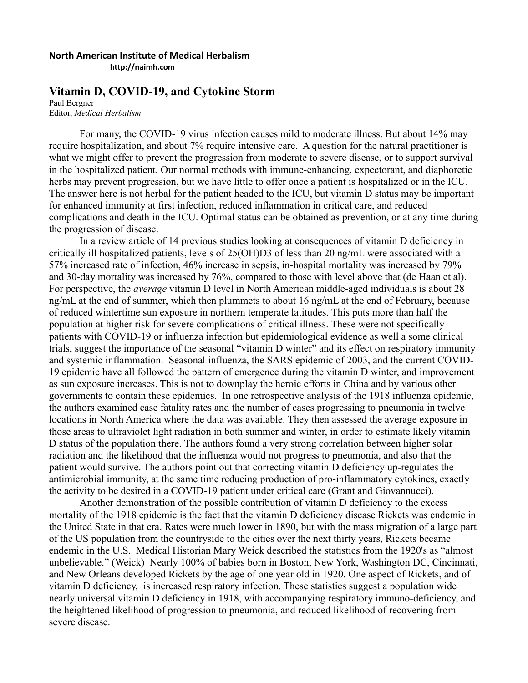## **North American Institute of Medical Herbalism**

**http://naimh.com**

## **Vitamin D, COVID-19, and Cytokine Storm**

Paul Bergner Editor, *Medical Herbalism*

For many, the COVID-19 virus infection causes mild to moderate illness. But about 14% may require hospitalization, and about 7% require intensive care. A question for the natural practitioner is what we might offer to prevent the progression from moderate to severe disease, or to support survival in the hospitalized patient. Our normal methods with immune-enhancing, expectorant, and diaphoretic herbs may prevent progression, but we have little to offer once a patient is hospitalized or in the ICU. The answer here is not herbal for the patient headed to the ICU, but vitamin D status may be important for enhanced immunity at first infection, reduced inflammation in critical care, and reduced complications and death in the ICU. Optimal status can be obtained as prevention, or at any time during the progression of disease.

In a review article of 14 previous studies looking at consequences of vitamin D deficiency in critically ill hospitalized patients, levels of 25(OH)D3 of less than 20 ng/mL were associated with a 57% increased rate of infection, 46% increase in sepsis, in-hospital mortality was increased by 79% and 30-day mortality was increased by 76%, compared to those with level above that (de Haan et al). For perspective, the *average* vitamin D level in North American middle-aged individuals is about 28 ng/mL at the end of summer, which then plummets to about 16 ng/mL at the end of February, because of reduced wintertime sun exposure in northern temperate latitudes. This puts more than half the population at higher risk for severe complications of critical illness. These were not specifically patients with COVID-19 or influenza infection but epidemiological evidence as well a some clinical trials, suggest the importance of the seasonal "vitamin D winter" and its effect on respiratory immunity and systemic inflammation. Seasonal influenza, the SARS epidemic of 2003, and the current COVID-19 epidemic have all followed the pattern of emergence during the vitamin D winter, and improvement as sun exposure increases. This is not to downplay the heroic efforts in China and by various other governments to contain these epidemics. In one retrospective analysis of the 1918 influenza epidemic, the authors examined case fatality rates and the number of cases progressing to pneumonia in twelve locations in North America where the data was available. They then assessed the average exposure in those areas to ultraviolet light radiation in both summer and winter, in order to estimate likely vitamin D status of the population there. The authors found a very strong correlation between higher solar radiation and the likelihood that the influenza would not progress to pneumonia, and also that the patient would survive. The authors point out that correcting vitamin D deficiency up-regulates the antimicrobial immunity, at the same time reducing production of pro-inflammatory cytokines, exactly the activity to be desired in a COVID-19 patient under critical care (Grant and Giovannucci).

Another demonstration of the possible contribution of vitamin D deficiency to the excess mortality of the 1918 epidemic is the fact that the vitamin D deficiency disease Rickets was endemic in the United State in that era. Rates were much lower in 1890, but with the mass migration of a large part of the US population from the countryside to the cities over the next thirty years, Rickets became endemic in the U.S. Medical Historian Mary Weick described the statistics from the 1920's as "almost unbelievable." (Weick) Nearly 100% of babies born in Boston, New York, Washington DC, Cincinnati, and New Orleans developed Rickets by the age of one year old in 1920. One aspect of Rickets, and of vitamin D deficiency, is increased respiratory infection. These statistics suggest a population wide nearly universal vitamin D deficiency in 1918, with accompanying respiratory immuno-deficiency, and the heightened likelihood of progression to pneumonia, and reduced likelihood of recovering from severe disease.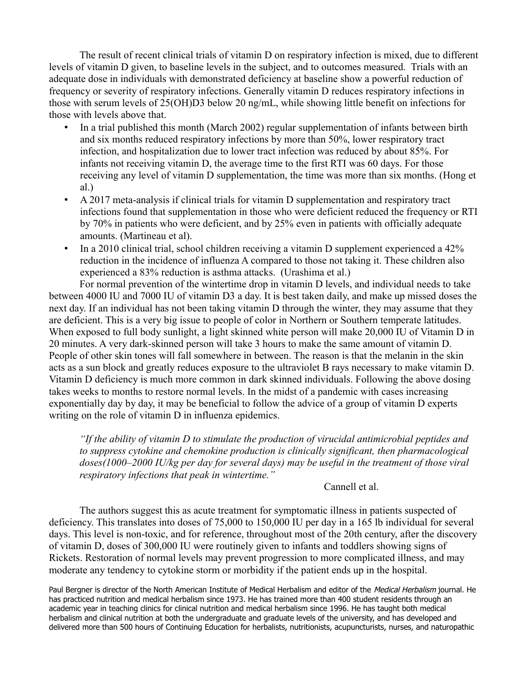The result of recent clinical trials of vitamin D on respiratory infection is mixed, due to different levels of vitamin D given, to baseline levels in the subject, and to outcomes measured. Trials with an adequate dose in individuals with demonstrated deficiency at baseline show a powerful reduction of frequency or severity of respiratory infections. Generally vitamin D reduces respiratory infections in those with serum levels of 25(OH)D3 below 20 ng/mL, while showing little benefit on infections for those with levels above that.

- In a trial published this month (March 2002) regular supplementation of infants between birth and six months reduced respiratory infections by more than 50%, lower respiratory tract infection, and hospitalization due to lower tract infection was reduced by about 85%. For infants not receiving vitamin D, the average time to the first RTI was 60 days. For those receiving any level of vitamin D supplementation, the time was more than six months. (Hong et al.)
- A 2017 meta-analysis if clinical trials for vitamin D supplementation and respiratory tract infections found that supplementation in those who were deficient reduced the frequency or RTI by 70% in patients who were deficient, and by 25% even in patients with officially adequate amounts. (Martineau et al).
- In a 2010 clinical trial, school children receiving a vitamin D supplement experienced a 42% reduction in the incidence of influenza A compared to those not taking it. These children also experienced a 83% reduction is asthma attacks. (Urashima et al.)

For normal prevention of the wintertime drop in vitamin D levels, and individual needs to take between 4000 IU and 7000 IU of vitamin D3 a day. It is best taken daily, and make up missed doses the next day. If an individual has not been taking vitamin D through the winter, they may assume that they are deficient. This is a very big issue to people of color in Northern or Southern temperate latitudes. When exposed to full body sunlight, a light skinned white person will make 20,000 IU of Vitamin D in 20 minutes. A very dark-skinned person will take 3 hours to make the same amount of vitamin D. People of other skin tones will fall somewhere in between. The reason is that the melanin in the skin acts as a sun block and greatly reduces exposure to the ultraviolet B rays necessary to make vitamin D. Vitamin D deficiency is much more common in dark skinned individuals. Following the above dosing takes weeks to months to restore normal levels. In the midst of a pandemic with cases increasing exponentially day by day, it may be beneficial to follow the advice of a group of vitamin D experts writing on the role of vitamin D in influenza epidemics.

*"If the ability of vitamin D to stimulate the production of virucidal antimicrobial peptides and to suppress cytokine and chemokine production is clinically significant, then pharmacological doses(1000–2000 IU/kg per day for several days) may be useful in the treatment of those viral respiratory infections that peak in wintertime."*

## Cannell et al.

The authors suggest this as acute treatment for symptomatic illness in patients suspected of deficiency. This translates into doses of 75,000 to 150,000 IU per day in a 165 lb individual for several days. This level is non-toxic, and for reference, throughout most of the 20th century, after the discovery of vitamin D, doses of 300,000 IU were routinely given to infants and toddlers showing signs of Rickets. Restoration of normal levels may prevent progression to more complicated illness, and may moderate any tendency to cytokine storm or morbidity if the patient ends up in the hospital.

Paul Bergner is director of the North American Institute of Medical Herbalism and editor of the *Medical Herbalism* journal. He has practiced nutrition and medical herbalism since 1973. He has trained more than 400 student residents through an academic year in teaching clinics for clinical nutrition and medical herbalism since 1996. He has taught both medical herbalism and clinical nutrition at both the undergraduate and graduate levels of the university, and has developed and delivered more than 500 hours of Continuing Education for herbalists, nutritionists, acupuncturists, nurses, and naturopathic